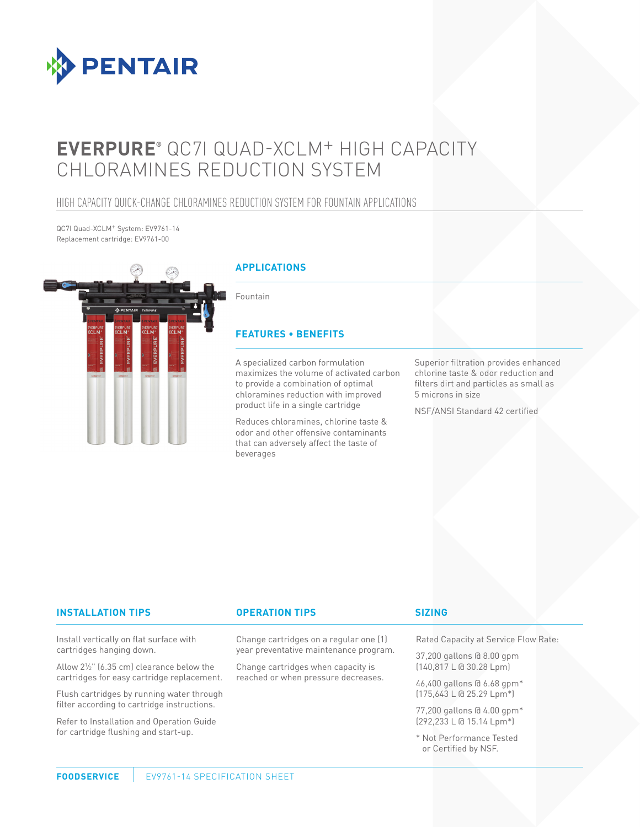

# **EVERPURE®** QC7I QUAD-XCLM+ HIGH CAPACITY CHLORAMINES REDUCTION SYSTEM

### HIGH CAPACITY QUICK-CHANGE CHLORAMINES REDUCTION SYSTEM FOR FOUNTAIN APPLICATIONS

QC7I Quad-XCLM+ System: EV9761-14 Replacement cartridge: EV9761-00



#### **INSTALLATION TIPS OPERATION TIPS**

Install vertically on flat surface with cartridges hanging down.

Allow 21 ⁄2" (6.35 cm) clearance below the cartridges for easy cartridge replacement.

Flush cartridges by running water through filter according to cartridge instructions.

Refer to Installation and Operation Guide for cartridge flushing and start-up.

Change cartridges on a regular one (1) year preventative maintenance program.

Change cartridges when capacity is reached or when pressure decreases.

#### **SIZING**

Rated Capacity at Service Flow Rate:

37,200 gallons @ 8.00 gpm (140,817 L @ 30.28 Lpm)

46,400 gallons @ 6.68 gpm\* (175,643 L @ 25.29 Lpm\*)

77,200 gallons @ 4.00 gpm\* (292,233 L @ 15.14 Lpm\*)

\* Not Performance Tested or Certified by NSF.